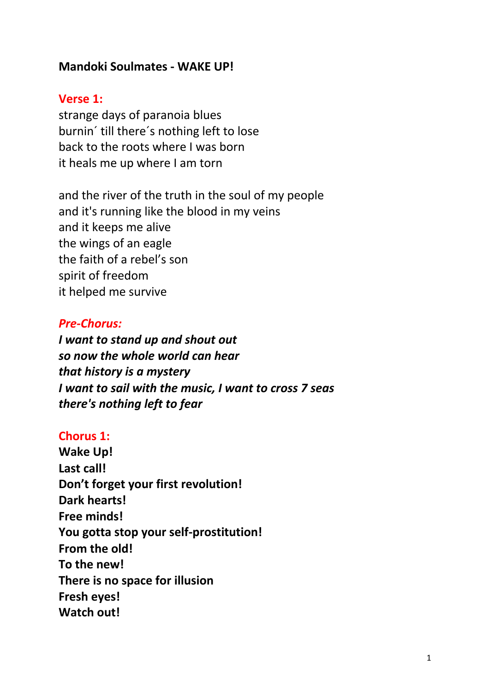## **Mandoki Soulmates - WAKE UP!**

#### **Verse 1:**

strange days of paranoia blues burnin´ till there´s nothing left to lose back to the roots where I was born it heals me up where I am torn

and the river of the truth in the soul of my people and it's running like the blood in my veins and it keeps me alive the wings of an eagle the faith of a rebel's son spirit of freedom it helped me survive

#### *Pre-Chorus:*

*I want to stand up and shout out so now the whole world can hear that history is a mystery I want to sail with the music, I want to cross 7 seas there's nothing left to fear*

#### **Chorus 1:**

**Wake Up! Last call! Don't forget your first revolution! Dark hearts! Free minds! You gotta stop your self-prostitution! From the old! To the new! There is no space for illusion Fresh eyes! Watch out!**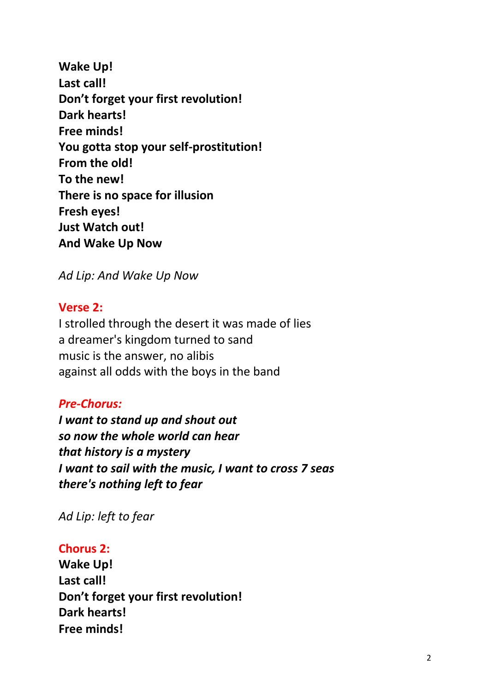**Wake Up! Last call! Don't forget your first revolution! Dark hearts! Free minds! You gotta stop your self-prostitution! From the old! To the new! There is no space for illusion Fresh eyes! Just Watch out! And Wake Up Now**

*Ad Lip: And Wake Up Now*

## **Verse 2:**

I strolled through the desert it was made of lies a dreamer's kingdom turned to sand music is the answer, no alibis against all odds with the boys in the band

# *Pre-Chorus:*

*I want to stand up and shout out so now the whole world can hear that history is a mystery I want to sail with the music, I want to cross 7 seas there's nothing left to fear*

*Ad Lip: left to fear*

# **Chorus 2:**

**Wake Up! Last call! Don't forget your first revolution! Dark hearts! Free minds!**